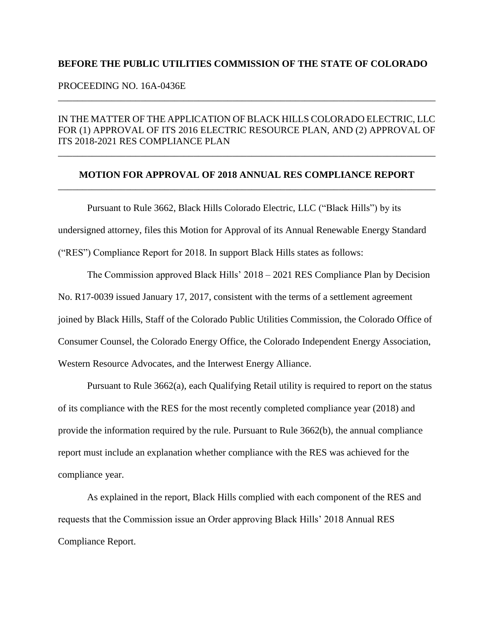## **BEFORE THE PUBLIC UTILITIES COMMISSION OF THE STATE OF COLORADO**

## PROCEEDING NO. 16A-0436E

## IN THE MATTER OF THE APPLICATION OF BLACK HILLS COLORADO ELECTRIC, LLC FOR (1) APPROVAL OF ITS 2016 ELECTRIC RESOURCE PLAN, AND (2) APPROVAL OF ITS 2018-2021 RES COMPLIANCE PLAN

\_\_\_\_\_\_\_\_\_\_\_\_\_\_\_\_\_\_\_\_\_\_\_\_\_\_\_\_\_\_\_\_\_\_\_\_\_\_\_\_\_\_\_\_\_\_\_\_\_\_\_\_\_\_\_\_\_\_\_\_\_\_\_\_\_\_\_\_\_\_\_\_\_\_\_\_\_\_

## **MOTION FOR APPROVAL OF 2018 ANNUAL RES COMPLIANCE REPORT** \_\_\_\_\_\_\_\_\_\_\_\_\_\_\_\_\_\_\_\_\_\_\_\_\_\_\_\_\_\_\_\_\_\_\_\_\_\_\_\_\_\_\_\_\_\_\_\_\_\_\_\_\_\_\_\_\_\_\_\_\_\_\_\_\_\_\_\_\_\_\_\_\_\_\_\_\_\_

\_\_\_\_\_\_\_\_\_\_\_\_\_\_\_\_\_\_\_\_\_\_\_\_\_\_\_\_\_\_\_\_\_\_\_\_\_\_\_\_\_\_\_\_\_\_\_\_\_\_\_\_\_\_\_\_\_\_\_\_\_\_\_\_\_\_\_\_\_\_\_\_\_\_\_\_\_\_

Pursuant to Rule 3662, Black Hills Colorado Electric, LLC ("Black Hills") by its undersigned attorney, files this Motion for Approval of its Annual Renewable Energy Standard ("RES") Compliance Report for 2018. In support Black Hills states as follows:

The Commission approved Black Hills' 2018 – 2021 RES Compliance Plan by Decision No. R17-0039 issued January 17, 2017, consistent with the terms of a settlement agreement joined by Black Hills, Staff of the Colorado Public Utilities Commission, the Colorado Office of Consumer Counsel, the Colorado Energy Office, the Colorado Independent Energy Association, Western Resource Advocates, and the Interwest Energy Alliance.

Pursuant to Rule 3662(a), each Qualifying Retail utility is required to report on the status of its compliance with the RES for the most recently completed compliance year (2018) and provide the information required by the rule. Pursuant to Rule 3662(b), the annual compliance report must include an explanation whether compliance with the RES was achieved for the compliance year.

As explained in the report, Black Hills complied with each component of the RES and requests that the Commission issue an Order approving Black Hills' 2018 Annual RES Compliance Report.